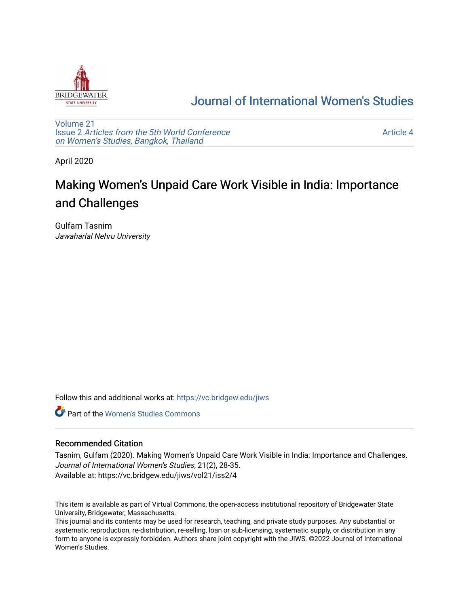

## [Journal of International Women's Studies](https://vc.bridgew.edu/jiws)

[Volume 21](https://vc.bridgew.edu/jiws/vol21) Issue 2 [Articles from the 5th World Conference](https://vc.bridgew.edu/jiws/vol21/iss2) [on Women's Studies, Bangkok, Thailand](https://vc.bridgew.edu/jiws/vol21/iss2) 

[Article 4](https://vc.bridgew.edu/jiws/vol21/iss2/4) 

April 2020

# Making Women's Unpaid Care Work Visible in India: Importance and Challenges

Gulfam Tasnim Jawaharlal Nehru University

Follow this and additional works at: [https://vc.bridgew.edu/jiws](https://vc.bridgew.edu/jiws?utm_source=vc.bridgew.edu%2Fjiws%2Fvol21%2Fiss2%2F4&utm_medium=PDF&utm_campaign=PDFCoverPages)

**C** Part of the Women's Studies Commons

#### Recommended Citation

Tasnim, Gulfam (2020). Making Women's Unpaid Care Work Visible in India: Importance and Challenges. Journal of International Women's Studies, 21(2), 28-35. Available at: https://vc.bridgew.edu/jiws/vol21/iss2/4

This item is available as part of Virtual Commons, the open-access institutional repository of Bridgewater State University, Bridgewater, Massachusetts.

This journal and its contents may be used for research, teaching, and private study purposes. Any substantial or systematic reproduction, re-distribution, re-selling, loan or sub-licensing, systematic supply, or distribution in any form to anyone is expressly forbidden. Authors share joint copyright with the JIWS. ©2022 Journal of International Women's Studies.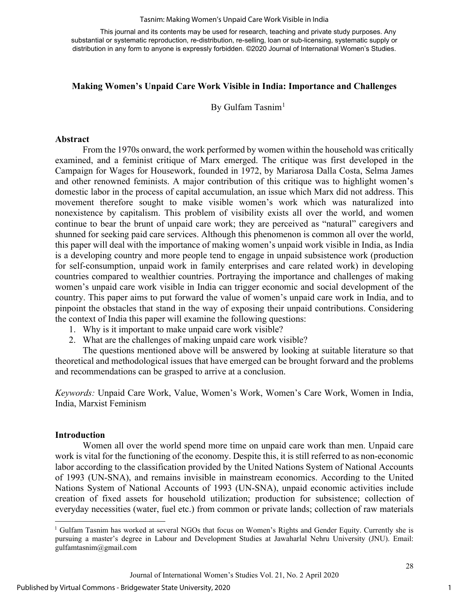#### Tasnim: Making Women's Unpaid Care Work Visible in India

This journal and its contents may be used for research, teaching and private study purposes. Any substantial or systematic reproduction, re-distribution, re-selling, loan or sub-licensing, systematic supply or distribution in any form to anyone is expressly forbidden. ©2020 Journal of International Women's Studies.

#### **Making Women's Unpaid Care Work Visible in India: Importance and Challenges**

By Gulfam Tasnim<sup>[1](#page-1-0)</sup>

#### **Abstract**

From the 1970s onward, the work performed by women within the household was critically examined, and a feminist critique of Marx emerged. The critique was first developed in the Campaign for Wages for Housework, founded in 1972, by Mariarosa Dalla Costa, Selma James and other renowned feminists. A major contribution of this critique was to highlight women's domestic labor in the process of capital accumulation, an issue which Marx did not address. This movement therefore sought to make visible women's work which was naturalized into nonexistence by capitalism. This problem of visibility exists all over the world, and women continue to bear the brunt of unpaid care work; they are perceived as "natural" caregivers and shunned for seeking paid care services. Although this phenomenon is common all over the world, this paper will deal with the importance of making women's unpaid work visible in India, as India is a developing country and more people tend to engage in unpaid subsistence work (production for self-consumption, unpaid work in family enterprises and care related work) in developing countries compared to wealthier countries. Portraying the importance and challenges of making women's unpaid care work visible in India can trigger economic and social development of the country. This paper aims to put forward the value of women's unpaid care work in India, and to pinpoint the obstacles that stand in the way of exposing their unpaid contributions. Considering the context of India this paper will examine the following questions:

- 1. Why is it important to make unpaid care work visible?
- 2. What are the challenges of making unpaid care work visible?

The questions mentioned above will be answered by looking at suitable literature so that theoretical and methodological issues that have emerged can be brought forward and the problems and recommendations can be grasped to arrive at a conclusion.

*Keywords:* Unpaid Care Work, Value, Women's Work, Women's Care Work, Women in India, India, Marxist Feminism

#### **Introduction**

Women all over the world spend more time on unpaid care work than men. Unpaid care work is vital for the functioning of the economy. Despite this, it is still referred to as non-economic labor according to the classification provided by the United Nations System of National Accounts of 1993 (UN-SNA), and remains invisible in mainstream economics. According to the United Nations System of National Accounts of 1993 (UN-SNA), unpaid economic activities include creation of fixed assets for household utilization; production for subsistence; collection of everyday necessities (water, fuel etc.) from common or private lands; collection of raw materials

1

<span id="page-1-0"></span> $1$  Gulfam Tasnim has worked at several NGOs that focus on Women's Rights and Gender Equity. Currently she is pursuing a master's degree in Labour and Development Studies at Jawaharlal Nehru University (JNU). Email: gulfamtasnim@gmail.com

Journal of International Women's Studies Vol. 21, No. 2 April 2020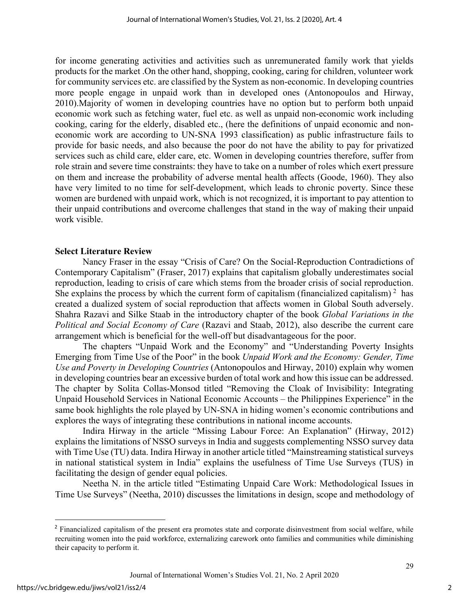for income generating activities and activities such as unremunerated family work that yields products for the market .On the other hand, shopping, cooking, caring for children, volunteer work for community services etc. are classified by the System as non-economic. In developing countries more people engage in unpaid work than in developed ones (Antonopoulos and Hirway, 2010).Majority of women in developing countries have no option but to perform both unpaid economic work such as fetching water, fuel etc. as well as unpaid non-economic work including cooking, caring for the elderly, disabled etc., (here the definitions of unpaid economic and noneconomic work are according to UN-SNA 1993 classification) as public infrastructure fails to provide for basic needs, and also because the poor do not have the ability to pay for privatized services such as child care, elder care, etc. Women in developing countries therefore, suffer from role strain and severe time constraints: they have to take on a number of roles which exert pressure on them and increase the probability of adverse mental health affects (Goode, 1960). They also have very limited to no time for self-development, which leads to chronic poverty. Since these women are burdened with unpaid work, which is not recognized, it is important to pay attention to their unpaid contributions and overcome challenges that stand in the way of making their unpaid work visible.

#### **Select Literature Review**

Nancy Fraser in the essay "Crisis of Care? On the Social-Reproduction Contradictions of Contemporary Capitalism" (Fraser, 2017) explains that capitalism globally underestimates social reproduction, leading to crisis of care which stems from the broader crisis of social reproduction. She explains the process by which the current form of capitalism (financialized capitalism)<sup>[2](#page-2-0)</sup> has created a dualized system of social reproduction that affects women in Global South adversely. Shahra Razavi and Silke Staab in the introductory chapter of the book *Global Variations in the Political and Social Economy of Care* (Razavi and Staab, 2012), also describe the current care arrangement which is beneficial for the well-off but disadvantageous for the poor.

The chapters "Unpaid Work and the Economy" and "Understanding Poverty Insights Emerging from Time Use of the Poor" in the book *Unpaid Work and the Economy: Gender, Time Use and Poverty in Developing Countries* (Antonopoulos and Hirway, 2010) explain why women in developing countries bear an excessive burden of total work and how this issue can be addressed. The chapter by Solita Collas-Monsod titled "Removing the Cloak of Invisibility: Integrating Unpaid Household Services in National Economic Accounts – the Philippines Experience" in the same book highlights the role played by UN-SNA in hiding women's economic contributions and explores the ways of integrating these contributions in national income accounts.

Indira Hirway in the article "Missing Labour Force: An Explanation" (Hirway, 2012) explains the limitations of NSSO surveys in India and suggests complementing NSSO survey data with Time Use (TU) data. Indira Hirway in another article titled "Mainstreaming statistical surveys in national statistical system in India" explains the usefulness of Time Use Surveys (TUS) in facilitating the design of gender equal policies.

Neetha N. in the article titled "Estimating Unpaid Care Work: Methodological Issues in Time Use Surveys" (Neetha, 2010) discusses the limitations in design, scope and methodology of

<span id="page-2-0"></span><sup>&</sup>lt;sup>2</sup> Financialized capitalism of the present era promotes state and corporate disinvestment from social welfare, while recruiting women into the paid workforce, externalizing carework onto families and communities while diminishing their capacity to perform it.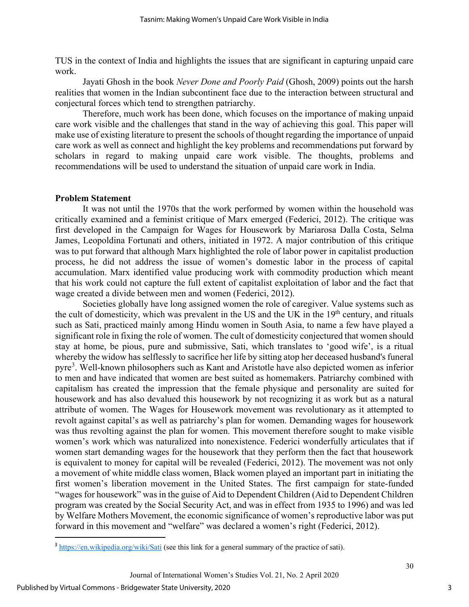TUS in the context of India and highlights the issues that are significant in capturing unpaid care work.

Jayati Ghosh in the book *Never Done and Poorly Paid* (Ghosh, 2009) points out the harsh realities that women in the Indian subcontinent face due to the interaction between structural and conjectural forces which tend to strengthen patriarchy.

Therefore, much work has been done, which focuses on the importance of making unpaid care work visible and the challenges that stand in the way of achieving this goal. This paper will make use of existing literature to present the schools of thought regarding the importance of unpaid care work as well as connect and highlight the key problems and recommendations put forward by scholars in regard to making unpaid care work visible. The thoughts, problems and recommendations will be used to understand the situation of unpaid care work in India.

#### **Problem Statement**

It was not until the 1970s that the work performed by women within the household was critically examined and a feminist critique of Marx emerged (Federici, 2012). The critique was first developed in the Campaign for Wages for Housework by Mariarosa Dalla Costa, Selma James, Leopoldina Fortunati and others, initiated in 1972. A major contribution of this critique was to put forward that although Marx highlighted the role of labor power in capitalist production process, he did not address the issue of women's domestic labor in the process of capital accumulation. Marx identified value producing work with commodity production which meant that his work could not capture the full extent of capitalist exploitation of labor and the fact that wage created a divide between men and women (Federici, 2012).

Societies globally have long assigned women the role of caregiver. Value systems such as the cult of domesticity, which was prevalent in the US and the UK in the 19<sup>th</sup> century, and rituals such as Sati, practiced mainly among Hindu women in South Asia, to name a few have played a significant role in fixing the role of women. The cult of domesticity conjectured that women should stay at home, be pious, pure and submissive, Sati, which translates to 'good wife', is a ritual whereby the widow has selflessly to sacrifice her life by sitting atop her deceased husband's funeral pyre<sup>[3](#page-3-0)</sup>. Well-known philosophers such as Kant and Aristotle have also depicted women as inferior to men and have indicated that women are best suited as homemakers. Patriarchy combined with capitalism has created the impression that the female physique and personality are suited for housework and has also devalued this housework by not recognizing it as work but as a natural attribute of women. The Wages for Housework movement was revolutionary as it attempted to revolt against capital's as well as patriarchy's plan for women. Demanding wages for housework was thus revolting against the plan for women. This movement therefore sought to make visible women's work which was naturalized into nonexistence. Federici wonderfully articulates that if women start demanding wages for the housework that they perform then the fact that housework is equivalent to money for capital will be revealed (Federici, 2012). The movement was not only a movement of white middle class women, Black women played an important part in initiating the first women's liberation movement in the United States. The first campaign for state-funded "wages for housework" was in the guise of Aid to Dependent Children (Aid to Dependent Children program was created by the Social Security Act, and was in effect from 1935 to 1996) and was led by Welfare Mothers Movement, the economic significance of women's reproductive labor was put forward in this movement and "welfare" was declared a women's right (Federici, 2012).

3

<span id="page-3-0"></span><sup>&</sup>lt;sup>3</sup> <https://en.wikipedia.org/wiki/Sati> (see this link for a general summary of the practice of sati).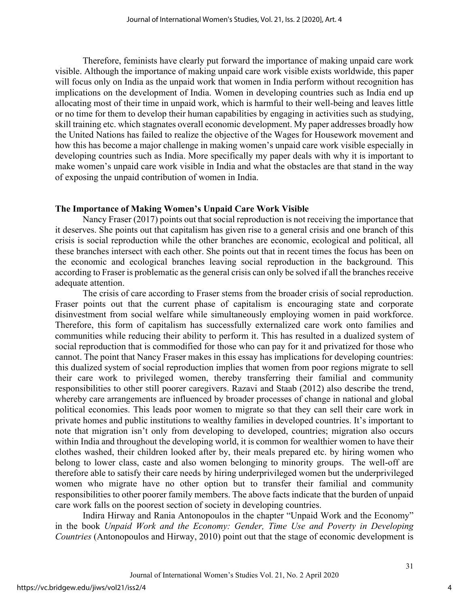Therefore, feminists have clearly put forward the importance of making unpaid care work visible. Although the importance of making unpaid care work visible exists worldwide, this paper will focus only on India as the unpaid work that women in India perform without recognition has implications on the development of India. Women in developing countries such as India end up allocating most of their time in unpaid work, which is harmful to their well-being and leaves little or no time for them to develop their human capabilities by engaging in activities such as studying, skill training etc. which stagnates overall economic development. My paper addresses broadly how the United Nations has failed to realize the objective of the Wages for Housework movement and how this has become a major challenge in making women's unpaid care work visible especially in developing countries such as India. More specifically my paper deals with why it is important to make women's unpaid care work visible in India and what the obstacles are that stand in the way of exposing the unpaid contribution of women in India.

#### **The Importance of Making Women's Unpaid Care Work Visible**

Nancy Fraser (2017) points out that social reproduction is not receiving the importance that it deserves. She points out that capitalism has given rise to a general crisis and one branch of this crisis is social reproduction while the other branches are economic, ecological and political, all these branches intersect with each other. She points out that in recent times the focus has been on the economic and ecological branches leaving social reproduction in the background. This according to Fraser is problematic as the general crisis can only be solved if all the branches receive adequate attention.

The crisis of care according to Fraser stems from the broader crisis of social reproduction. Fraser points out that the current phase of capitalism is encouraging state and corporate disinvestment from social welfare while simultaneously employing women in paid workforce. Therefore, this form of capitalism has successfully externalized care work onto families and communities while reducing their ability to perform it. This has resulted in a dualized system of social reproduction that is commodified for those who can pay for it and privatized for those who cannot. The point that Nancy Fraser makes in this essay has implications for developing countries: this dualized system of social reproduction implies that women from poor regions migrate to sell their care work to privileged women, thereby transferring their familial and community responsibilities to other still poorer caregivers. Razavi and Staab (2012) also describe the trend, whereby care arrangements are influenced by broader processes of change in national and global political economies. This leads poor women to migrate so that they can sell their care work in private homes and public institutions to wealthy families in developed countries. It's important to note that migration isn't only from developing to developed, countries; migration also occurs within India and throughout the developing world, it is common for wealthier women to have their clothes washed, their children looked after by, their meals prepared etc. by hiring women who belong to lower class, caste and also women belonging to minority groups. The well-off are therefore able to satisfy their care needs by hiring underprivileged women but the underprivileged women who migrate have no other option but to transfer their familial and community responsibilities to other poorer family members. The above facts indicate that the burden of unpaid care work falls on the poorest section of society in developing countries.

Indira Hirway and Rania Antonopoulos in the chapter "Unpaid Work and the Economy" in the book *Unpaid Work and the Economy: Gender, Time Use and Poverty in Developing Countries* (Antonopoulos and Hirway, 2010) point out that the stage of economic development is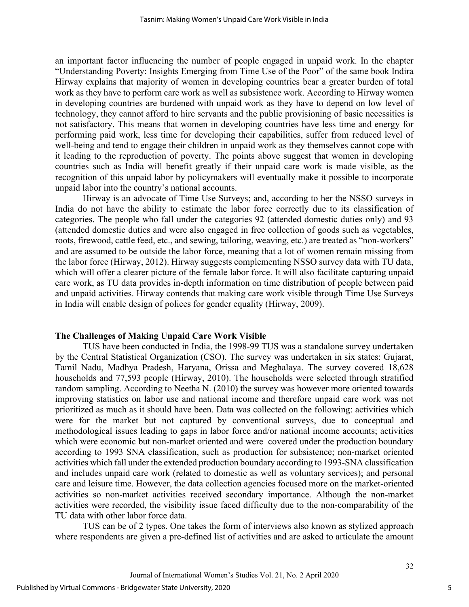an important factor influencing the number of people engaged in unpaid work. In the chapter "Understanding Poverty: Insights Emerging from Time Use of the Poor" of the same book Indira Hirway explains that majority of women in developing countries bear a greater burden of total work as they have to perform care work as well as subsistence work. According to Hirway women in developing countries are burdened with unpaid work as they have to depend on low level of technology, they cannot afford to hire servants and the public provisioning of basic necessities is not satisfactory. This means that women in developing countries have less time and energy for performing paid work, less time for developing their capabilities, suffer from reduced level of well-being and tend to engage their children in unpaid work as they themselves cannot cope with it leading to the reproduction of poverty. The points above suggest that women in developing countries such as India will benefit greatly if their unpaid care work is made visible, as the recognition of this unpaid labor by policymakers will eventually make it possible to incorporate unpaid labor into the country's national accounts.

Hirway is an advocate of Time Use Surveys; and, according to her the NSSO surveys in India do not have the ability to estimate the labor force correctly due to its classification of categories. The people who fall under the categories 92 (attended domestic duties only) and 93 (attended domestic duties and were also engaged in free collection of goods such as vegetables, roots, firewood, cattle feed, etc., and sewing, tailoring, weaving, etc.) are treated as "non-workers" and are assumed to be outside the labor force, meaning that a lot of women remain missing from the labor force (Hirway, 2012). Hirway suggests complementing NSSO survey data with TU data, which will offer a clearer picture of the female labor force. It will also facilitate capturing unpaid care work, as TU data provides in-depth information on time distribution of people between paid and unpaid activities. Hirway contends that making care work visible through Time Use Surveys in India will enable design of polices for gender equality (Hirway, 2009).

#### **The Challenges of Making Unpaid Care Work Visible**

TUS have been conducted in India, the 1998-99 TUS was a standalone survey undertaken by the Central Statistical Organization (CSO). The survey was undertaken in six states: Gujarat, Tamil Nadu, Madhya Pradesh, Haryana, Orissa and Meghalaya. The survey covered 18,628 households and 77,593 people (Hirway, 2010). The households were selected through stratified random sampling. According to Neetha N. (2010) the survey was however more oriented towards improving statistics on labor use and national income and therefore unpaid care work was not prioritized as much as it should have been. Data was collected on the following: activities which were for the market but not captured by conventional surveys, due to conceptual and methodological issues leading to gaps in labor force and/or national income accounts; activities which were economic but non-market oriented and were covered under the production boundary according to 1993 SNA classification, such as production for subsistence; non-market oriented activities which fall under the extended production boundary according to 1993-SNA classification and includes unpaid care work (related to domestic as well as voluntary services); and personal care and leisure time. However, the data collection agencies focused more on the market-oriented activities so non-market activities received secondary importance. Although the non-market activities were recorded, the visibility issue faced difficulty due to the non-comparability of the TU data with other labor force data.

TUS can be of 2 types. One takes the form of interviews also known as stylized approach where respondents are given a pre-defined list of activities and are asked to articulate the amount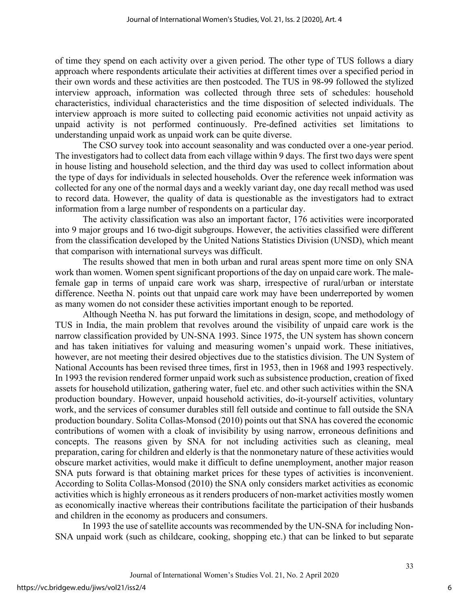of time they spend on each activity over a given period. The other type of TUS follows a diary approach where respondents articulate their activities at different times over a specified period in their own words and these activities are then postcoded. The TUS in 98-99 followed the stylized interview approach, information was collected through three sets of schedules: household characteristics, individual characteristics and the time disposition of selected individuals. The interview approach is more suited to collecting paid economic activities not unpaid activity as unpaid activity is not performed continuously. Pre-defined activities set limitations to understanding unpaid work as unpaid work can be quite diverse.

The CSO survey took into account seasonality and was conducted over a one-year period. The investigators had to collect data from each village within 9 days. The first two days were spent in house listing and household selection, and the third day was used to collect information about the type of days for individuals in selected households. Over the reference week information was collected for any one of the normal days and a weekly variant day, one day recall method was used to record data. However, the quality of data is questionable as the investigators had to extract information from a large number of respondents on a particular day.

The activity classification was also an important factor, 176 activities were incorporated into 9 major groups and 16 two-digit subgroups. However, the activities classified were different from the classification developed by the United Nations Statistics Division (UNSD), which meant that comparison with international surveys was difficult.

The results showed that men in both urban and rural areas spent more time on only SNA work than women. Women spent significant proportions of the day on unpaid care work. The malefemale gap in terms of unpaid care work was sharp, irrespective of rural/urban or interstate difference. Neetha N. points out that unpaid care work may have been underreported by women as many women do not consider these activities important enough to be reported.

Although Neetha N. has put forward the limitations in design, scope, and methodology of TUS in India, the main problem that revolves around the visibility of unpaid care work is the narrow classification provided by UN-SNA 1993. Since 1975, the UN system has shown concern and has taken initiatives for valuing and measuring women's unpaid work. These initiatives, however, are not meeting their desired objectives due to the statistics division. The UN System of National Accounts has been revised three times, first in 1953, then in 1968 and 1993 respectively. In 1993 the revision rendered former unpaid work such as subsistence production, creation of fixed assets for household utilization, gathering water, fuel etc. and other such activities within the SNA production boundary. However, unpaid household activities, do-it-yourself activities, voluntary work, and the services of consumer durables still fell outside and continue to fall outside the SNA production boundary. Solita Collas-Monsod (2010) points out that SNA has covered the economic contributions of women with a cloak of invisibility by using narrow, erroneous definitions and concepts. The reasons given by SNA for not including activities such as cleaning, meal preparation, caring for children and elderly is that the nonmonetary nature of these activities would obscure market activities, would make it difficult to define unemployment, another major reason SNA puts forward is that obtaining market prices for these types of activities is inconvenient. According to Solita Collas-Monsod (2010) the SNA only considers market activities as economic activities which is highly erroneous as it renders producers of non-market activities mostly women as economically inactive whereas their contributions facilitate the participation of their husbands and children in the economy as producers and consumers.

In 1993 the use of satellite accounts was recommended by the UN-SNA for including Non-SNA unpaid work (such as childcare, cooking, shopping etc.) that can be linked to but separate

6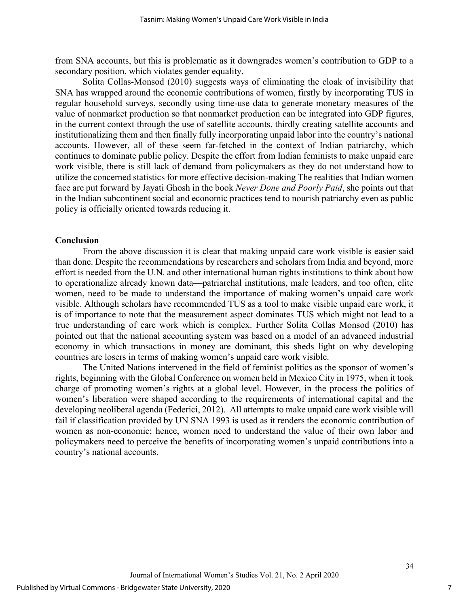from SNA accounts, but this is problematic as it downgrades women's contribution to GDP to a secondary position, which violates gender equality.

Solita Collas-Monsod (2010) suggests ways of eliminating the cloak of invisibility that SNA has wrapped around the economic contributions of women, firstly by incorporating TUS in regular household surveys, secondly using time-use data to generate monetary measures of the value of nonmarket production so that nonmarket production can be integrated into GDP figures, in the current context through the use of satellite accounts, thirdly creating satellite accounts and institutionalizing them and then finally fully incorporating unpaid labor into the country's national accounts. However, all of these seem far-fetched in the context of Indian patriarchy, which continues to dominate public policy. Despite the effort from Indian feminists to make unpaid care work visible, there is still lack of demand from policymakers as they do not understand how to utilize the concerned statistics for more effective decision-making The realities that Indian women face are put forward by Jayati Ghosh in the book *Never Done and Poorly Paid*, she points out that in the Indian subcontinent social and economic practices tend to nourish patriarchy even as public policy is officially oriented towards reducing it.

#### **Conclusion**

From the above discussion it is clear that making unpaid care work visible is easier said than done. Despite the recommendations by researchers and scholars from India and beyond, more effort is needed from the U.N. and other international human rights institutions to think about how to operationalize already known data—patriarchal institutions, male leaders, and too often, elite women, need to be made to understand the importance of making women's unpaid care work visible. Although scholars have recommended TUS as a tool to make visible unpaid care work, it is of importance to note that the measurement aspect dominates TUS which might not lead to a true understanding of care work which is complex. Further Solita Collas Monsod (2010) has pointed out that the national accounting system was based on a model of an advanced industrial economy in which transactions in money are dominant, this sheds light on why developing countries are losers in terms of making women's unpaid care work visible.

The United Nations intervened in the field of feminist politics as the sponsor of women's rights, beginning with the Global Conference on women held in Mexico City in 1975, when it took charge of promoting women's rights at a global level. However, in the process the politics of women's liberation were shaped according to the requirements of international capital and the developing neoliberal agenda (Federici, 2012). All attempts to make unpaid care work visible will fail if classification provided by UN SNA 1993 is used as it renders the economic contribution of women as non-economic; hence, women need to understand the value of their own labor and policymakers need to perceive the benefits of incorporating women's unpaid contributions into a country's national accounts.